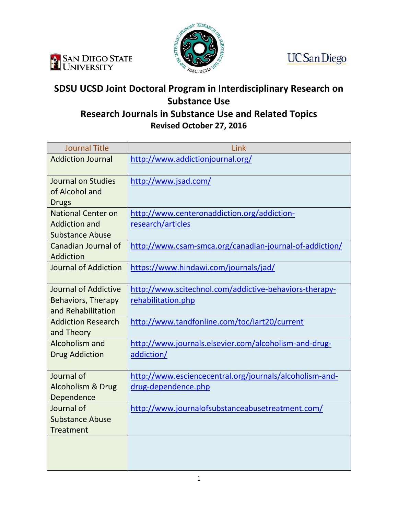





## **SDSU UCSD Joint Doctoral Program in Interdisciplinary Research on Substance Use Research Journals in Substance Use and Related Topics**

**Revised October 27, 2016**

| <b>Journal Title</b>                           | Link                                                    |
|------------------------------------------------|---------------------------------------------------------|
| <b>Addiction Journal</b>                       | http://www.addictionjournal.org/                        |
| Journal on Studies<br>of Alcohol and           | http://www.jsad.com/                                    |
| <b>Drugs</b>                                   |                                                         |
| <b>National Center on</b>                      | http://www.centeronaddiction.org/addiction-             |
| <b>Addiction and</b><br><b>Substance Abuse</b> | research/articles                                       |
| Canadian Journal of<br>Addiction               | http://www.csam-smca.org/canadian-journal-of-addiction/ |
| <b>Journal of Addiction</b>                    | https://www.hindawi.com/journals/jad/                   |
| Journal of Addictive                           | http://www.scitechnol.com/addictive-behaviors-therapy-  |
| <b>Behaviors, Therapy</b>                      | rehabilitation.php                                      |
| and Rehabilitation                             |                                                         |
| <b>Addiction Research</b><br>and Theory        | http://www.tandfonline.com/toc/iart20/current           |
| Alcoholism and                                 | http://www.journals.elsevier.com/alcoholism-and-drug-   |
| <b>Drug Addiction</b>                          | addiction/                                              |
| Journal of                                     | http://www.esciencecentral.org/journals/alcoholism-and- |
| <b>Alcoholism &amp; Drug</b>                   | drug-dependence.php                                     |
| Dependence                                     |                                                         |
| Journal of                                     | http://www.journalofsubstanceabusetreatment.com/        |
| <b>Substance Abuse</b>                         |                                                         |
| <b>Treatment</b>                               |                                                         |
|                                                |                                                         |
|                                                |                                                         |
|                                                |                                                         |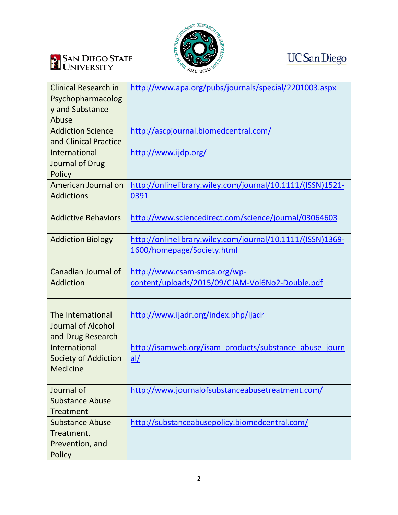





| <b>Clinical Research in</b><br>Psychopharmacolog<br>y and Substance<br>Abuse | http://www.apa.org/pubs/journals/special/2201003.aspx                                    |
|------------------------------------------------------------------------------|------------------------------------------------------------------------------------------|
| <b>Addiction Science</b><br>and Clinical Practice                            | http://ascpjournal.biomedcentral.com/                                                    |
| International<br>Journal of Drug<br>Policy                                   | http://www.ijdp.org/                                                                     |
| American Journal on<br><b>Addictions</b>                                     | http://onlinelibrary.wiley.com/journal/10.1111/(ISSN)1521-<br>0391                       |
| <b>Addictive Behaviors</b>                                                   | http://www.sciencedirect.com/science/journal/03064603                                    |
| <b>Addiction Biology</b>                                                     | http://onlinelibrary.wiley.com/journal/10.1111/(ISSN)1369-<br>1600/homepage/Society.html |
| Canadian Journal of<br>Addiction                                             | http://www.csam-smca.org/wp-<br>content/uploads/2015/09/CJAM-Vol6No2-Double.pdf          |
| The International<br><b>Journal of Alcohol</b><br>and Drug Research          | http://www.ijadr.org/index.php/ijadr                                                     |
| International<br><b>Society of Addiction</b><br>Medicine                     | http://isamweb.org/isam products/substance abuse journ<br>al/                            |
| Journal of<br><b>Substance Abuse</b><br>Treatment                            | http://www.journalofsubstanceabusetreatment.com/                                         |
| <b>Substance Abuse</b><br>Treatment,<br>Prevention, and<br>Policy            | http://substanceabusepolicy.biomedcentral.com/                                           |